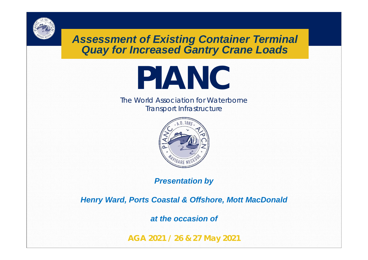*Assessment of Existing Container Terminal Quay for Increased Gantry Crane Loads*

# **PIANC**

The World Association for Waterborne Transport Infrastructure



*Presentation by*

*Henry Ward, Ports Coastal & Offshore, Mott MacDonald*

*at the occasion of*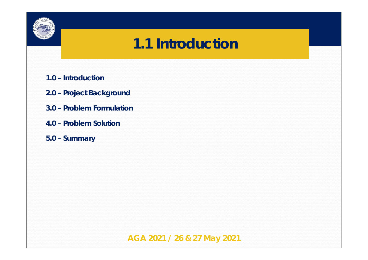

#### **1.1 Introduction**

- **1.0 Introduction**
- **2.0 Project Background**
- **3.0 Problem Formulation**
- **4.0 Problem Solution**
- **5.0 Summary**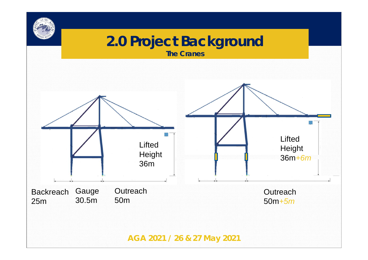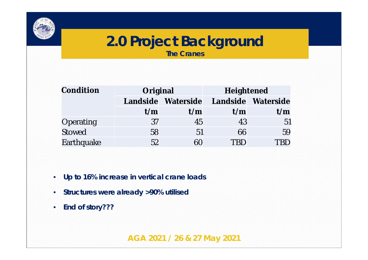

#### **2.0 Project Background The Cranes**

| Condition     | Original |                    | Heightened |                    |  |  |
|---------------|----------|--------------------|------------|--------------------|--|--|
|               |          | Landside Waterside |            | Landside Waterside |  |  |
|               | t/m      | t/m                | t/m        | t/m                |  |  |
| Operating     | 37       | 45                 | 43         | 51                 |  |  |
| <b>Stowed</b> | 58       | 51                 | 66         | 59                 |  |  |
| Earthquake    | 52       | 60                 | TRD        |                    |  |  |

- **Up to 16% increase in vertical crane loads**
- **Structures were already >90% utilised**
- **End of story???**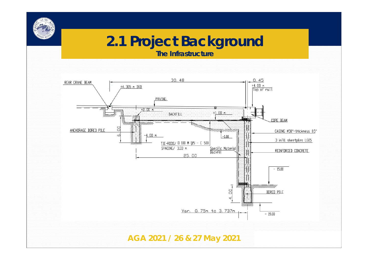#### **2.1 Project Background**

**The Infrastructure**

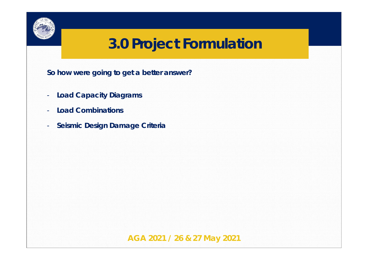

**So how were going to get a better answer?**

- **Load Capacity Diagrams**
- **Load Combinations**
- **Seismic Design Damage Criteria**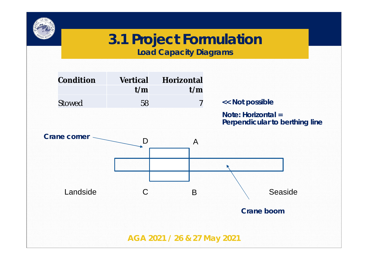

**Load Capacity Diagrams**

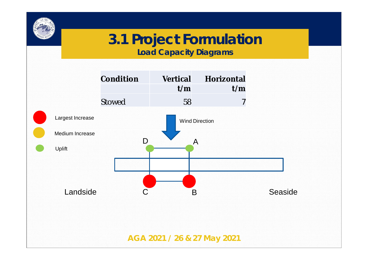

**Load Capacity Diagrams**

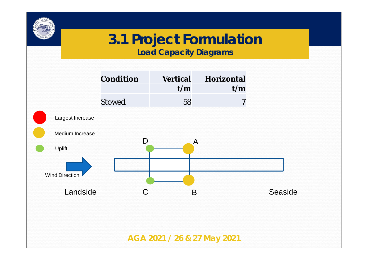

**Load Capacity Diagrams**

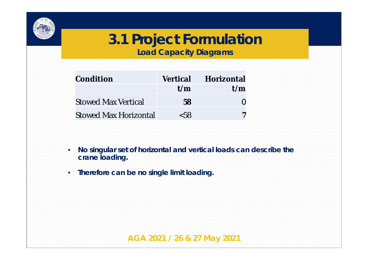

**Load Capacity Diagrams**

| Condition                    | Vertical | Horizontal |
|------------------------------|----------|------------|
|                              | t/m      | t/m        |
| <b>Stowed Max Vertical</b>   | 58       |            |
| <b>Stowed Max Horizontal</b> | < 58     |            |

- **No singular set of horizontal and vertical loads can describe the crane loading.**
- **Therefore can be no single limit loading.**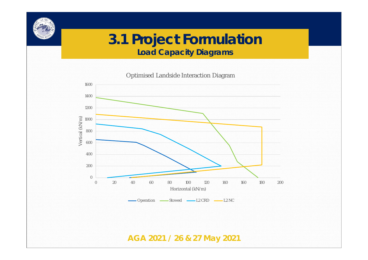**Load Capacity Diagrams**



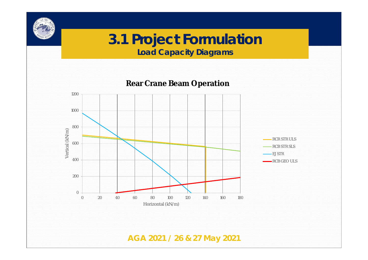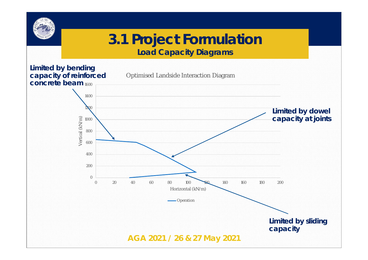

**Load Capacity Diagrams**

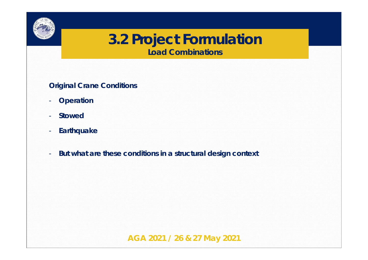

**Load Combinations**

**Original Crane Conditions**

- **Operation**
- **Stowed**
- **Earthquake**
- **But what are these conditions in a structural design context**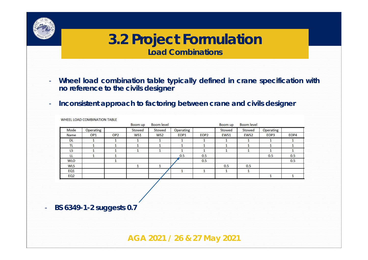

**Load Combinations**

- **Wheel load combination table typically defined in crane specification with no reference to the civils designer**
- **Inconsistent approach to factoring between crane and civils designer**

|                 |                 |                 | Boom up | <b>Boom</b> level |                  |                  | Boom up | <b>Boom level</b> |           |      |
|-----------------|-----------------|-----------------|---------|-------------------|------------------|------------------|---------|-------------------|-----------|------|
| Mode            | Operating       |                 | Stowed  | Stowed            | Operating        |                  | Stowed  | Stowed            | Operating |      |
| Name            | OP <sub>1</sub> | OP <sub>2</sub> | WS1     | WS <sub>2</sub>   | EOP <sub>1</sub> | EOP <sub>2</sub> | EWS1    | EWS <sub>2</sub>  | EOP3      | EOP4 |
| <b>DL</b>       |                 |                 |         |                   |                  |                  |         |                   |           |      |
| TL              |                 |                 |         |                   |                  |                  |         |                   |           |      |
| LS              |                 |                 |         |                   |                  |                  |         |                   |           |      |
| LL              |                 |                 |         |                   | 0.5              | 0.5              |         |                   | 0.5       | 0.5  |
| <b>WLO</b>      |                 |                 |         |                   |                  | 0.5              |         |                   |           | 0.5  |
| <b>WLS</b>      |                 |                 |         |                   |                  |                  | 0.5     | 0.5               |           |      |
| EQ <sub>1</sub> |                 |                 |         |                   |                  |                  |         |                   |           |      |
| EQ <sub>2</sub> |                 |                 |         |                   |                  |                  |         |                   |           |      |

WHEEL LOAD COMPINIATION TABLE

- **BS 6349-1-2 suggests 0.7**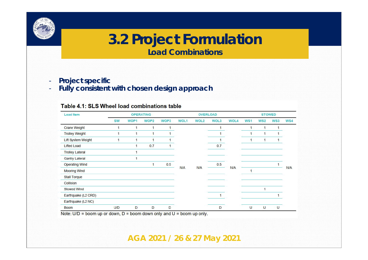

**Load Combinations**

- **Project specific**
- **Fully consistent with chosen design approach**

#### Table 4.1: SLS Wheel load combinations table

| Load Item                 |           |      | <b>OPERATING</b> |      |             |                  | <b>OVERLOAD</b> |             |     | <b>STOWED</b>   |        |            |  |
|---------------------------|-----------|------|------------------|------|-------------|------------------|-----------------|-------------|-----|-----------------|--------|------------|--|
|                           | <b>SW</b> | WOP1 | WOP <sub>2</sub> | WOP3 | <b>WOL1</b> | WOL <sub>2</sub> | WOL3            | <b>WOL4</b> | WS1 | WS <sub>2</sub> | WS3    | WS4        |  |
| <b>Crane Weight</b>       |           |      | 1                |      |             |                  |                 |             |     | 1               |        |            |  |
| <b>Trolley Weight</b>     | 1         | 1    | 1                |      |             |                  |                 |             |     | 1               |        |            |  |
| <b>Lift System Weight</b> |           |      |                  |      |             |                  |                 |             |     |                 |        |            |  |
| <b>Lifted Load</b>        |           |      | 0.7              |      |             |                  | 0.7             |             |     |                 |        |            |  |
| <b>Trolley Lateral</b>    |           |      |                  |      |             |                  |                 |             |     |                 |        |            |  |
| <b>Gantry Lateral</b>     |           |      |                  |      |             |                  |                 |             |     |                 |        |            |  |
| <b>Operating Wind</b>     |           |      | 1                | 0.5  |             |                  | 0.5             |             |     |                 |        |            |  |
| <b>Mooring Wind</b>       |           |      |                  |      | N/A         | <b>N/A</b>       |                 | <b>N/A</b>  |     |                 |        | <b>N/A</b> |  |
| <b>Stall Torque</b>       |           |      |                  |      |             |                  |                 |             |     |                 |        |            |  |
| Collision                 |           |      |                  |      |             |                  |                 |             |     |                 |        |            |  |
| <b>Stowed Wind</b>        |           |      |                  |      |             |                  |                 |             |     |                 |        |            |  |
| Earthquake (L2 CRD)       |           |      |                  |      |             |                  |                 |             |     |                 |        |            |  |
| Earthquake (L2 NC)        |           |      |                  |      |             |                  |                 |             |     |                 |        |            |  |
| <b>Boom</b>               | U/D       | D    | D                | D    |             |                  | D               |             | U   | U               | $\cup$ |            |  |

Note:  $U/D$  = boom up or down, D = boom down only and U = boom up only.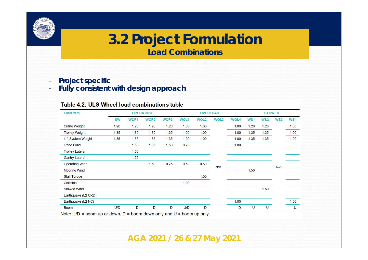

**Load Combinations**

- **Project specific**
- **Fully consistent with design approach**

#### Table 4.2: ULS Wheel load combinations table

| Load Item              |           |      | <b>OPERATING</b> |      |             | <b>OVERLOAD</b> |            |             |            | <b>STOWED</b> |                 |      |  |
|------------------------|-----------|------|------------------|------|-------------|-----------------|------------|-------------|------------|---------------|-----------------|------|--|
|                        | <b>SW</b> | WOP1 | WOP <sub>2</sub> | WOP3 | <b>WOL1</b> | WOL2            | WOL3       | <b>WOL4</b> | <b>WS1</b> | <b>WS2</b>    | WS <sub>3</sub> | WS4  |  |
| <b>Crane Weight</b>    | 1.20      | 1.20 | 1.20             | 1.20 | 1.00        | 1.00            |            | 1.00        | 1.20       | 1.20          |                 | 1.00 |  |
| <b>Trolley Weight</b>  | 1.35      | 1.35 | 1.35             | 1.35 | 1.00        | 1.00            |            | 1.00        | 1.35       | 1.35          |                 | 1.00 |  |
| Lift System Weight     | 1.35      | 1.35 | 1.35             | 1.35 | 1.00        | 1.00            |            | 1.00        | 1.35       | 1.35          |                 | 1.00 |  |
| <b>Lifted Load</b>     |           | 1.50 | 1.05             | 1.50 | 0.70        |                 |            | 1.00        |            |               |                 |      |  |
| <b>Trolley Lateral</b> |           | 1.50 |                  |      |             |                 |            |             |            |               |                 |      |  |
| <b>Gantry Lateral</b>  |           | 1.50 |                  |      |             |                 |            |             |            |               |                 |      |  |
| <b>Operating Wind</b>  |           |      | 1.50             | 0.75 | 0.50        | 0.50            | <b>N/A</b> |             |            |               | <b>N/A</b>      |      |  |
| <b>Mooring Wind</b>    |           |      |                  |      |             |                 |            |             | 1.50       |               |                 |      |  |
| Stall Torque           |           |      |                  |      |             | 1.00            |            |             |            |               |                 |      |  |
| Collision              |           |      |                  |      | 1.00        |                 |            |             |            |               |                 |      |  |
| <b>Stowed Wind</b>     |           |      |                  |      |             |                 |            |             |            | 1.50          |                 |      |  |
| Earthquake (L2 CRD)    |           |      |                  |      |             |                 |            |             |            |               |                 |      |  |
| Earthquake (L2 NC)     |           |      |                  |      |             |                 |            | 1.00        |            |               |                 | 1.00 |  |
| <b>Boom</b>            | U/D       | D    | D                | D    | U/D         | D               |            | D           | U          | U             |                 | U    |  |

Note:  $U/D =$  boom up or down,  $D =$  boom down only and  $U =$  boom up only.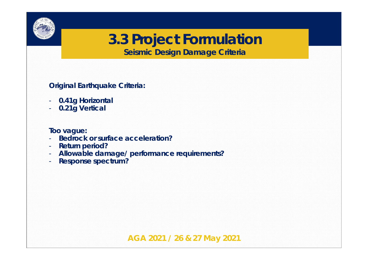

**Seismic Design Damage Criteria**

**Original Earthquake Criteria:**

- **0.41g Horizontal**
- **0.21g Vertical**

**Too vague:**

- **Bedrock or surface acceleration?**
- **Return period?**
- **Allowable damage/ performance requirements?**
- **Response spectrum?**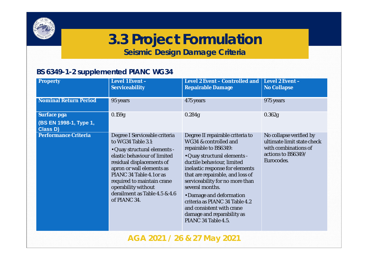

**Seismic Design Damage Criteria**

#### **BS 6349-1-2 supplemented PIANC WG34**

| Property                                                 | Level 1 Event -<br>Serviceability                                                                                                                                                                                                                                                                               | Level 2 Event – Controlled and  <br>Repairable Damage                                                                                                                                                                                                                                                                                                                                                                         | Level 2 Event -<br>No Collapse                                                                                    |
|----------------------------------------------------------|-----------------------------------------------------------------------------------------------------------------------------------------------------------------------------------------------------------------------------------------------------------------------------------------------------------------|-------------------------------------------------------------------------------------------------------------------------------------------------------------------------------------------------------------------------------------------------------------------------------------------------------------------------------------------------------------------------------------------------------------------------------|-------------------------------------------------------------------------------------------------------------------|
| Nominal Return Period                                    | 95 years                                                                                                                                                                                                                                                                                                        | 475 years                                                                                                                                                                                                                                                                                                                                                                                                                     | 975 years                                                                                                         |
| Surface pga<br>(BS EN 1998-1, Type 1,<br><b>Class D)</b> | 0.159g                                                                                                                                                                                                                                                                                                          | 0.284g                                                                                                                                                                                                                                                                                                                                                                                                                        | 0.362g                                                                                                            |
| Performance Criteria                                     | Degree I Serviceable criteria<br>to WG34 Table 3.1:<br>· Quay structural elements -<br>elastic behaviour of limited<br>residual displacements of<br>apron or wall elements as<br>PIANC 34 Table 4.1 or as<br>required to maintain crane<br>operability without<br>derailment as Table 4.5 & 4.6<br>of PIANC 34. | Degree II repairable criteria to<br>WG34 & controlled and<br>repairable to BS6349:<br>· Quay structural elements -<br>ductile behaviour, limited<br>inelastic response for elements<br>that are repairable, and loss of<br>serviceability for no more than<br>several months.<br>• Damage and deformation<br>criteria as PIANC 34 Table 4.2<br>and consistent with crane<br>damage and reparability as<br>PIANC 34 Table 4.5. | No collapse verified by<br>ultimate limit state check<br>with combinations of<br>actions to BS6349/<br>Eurocodes. |
|                                                          |                                                                                                                                                                                                                                                                                                                 | AGA 2021 / 26 & 27 May 2021                                                                                                                                                                                                                                                                                                                                                                                                   |                                                                                                                   |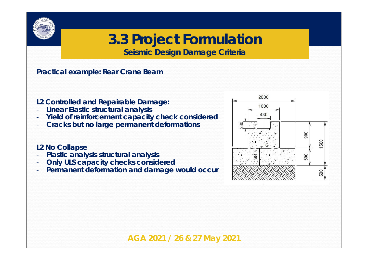

**Seismic Design Damage Criteria**

**Practical example: Rear Crane Beam**

- **L2 Controlled and Repairable Damage:**
- **Linear Elastic structural analysis**
- **Yield of reinforcement capacity check considered**
- **Cracks but no large permanent deformations**

#### **L2 No Collapse**

- **Plastic analysis structural analysis**
- **Only ULS capacity checks considered**
- Permanent deformation and damage would occur

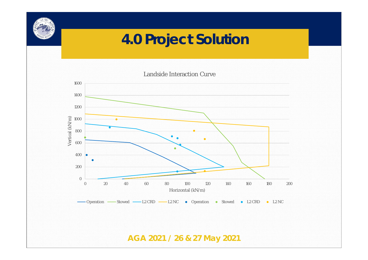## **4.0 Project Solution**

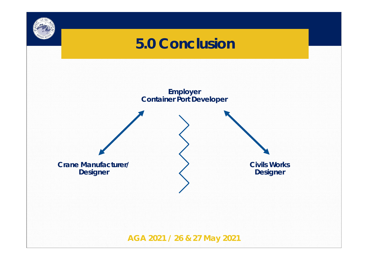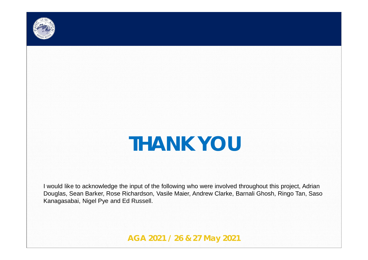

# *THANK YOU*

I would like to acknowledge the input of the following who were involved throughout this project, Adrian Douglas, Sean Barker, Rose Richardson, Vasile Maier, Andrew Clarke, Barnali Ghosh, Ringo Tan, Saso Kanagasabai, Nigel Pye and Ed Russell.